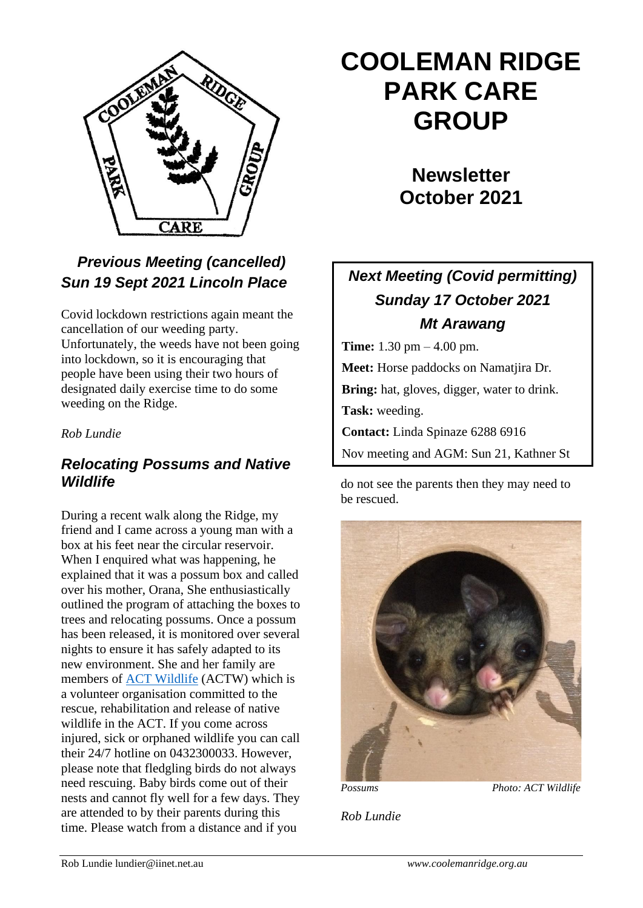

# *Previous Meeting (cancelled) Sun 19 Sept 2021 Lincoln Place*

Covid lockdown restrictions again meant the cancellation of our weeding party. Unfortunately, the weeds have not been going into lockdown, so it is encouraging that people have been using their two hours of designated daily exercise time to do some weeding on the Ridge.

#### *Rob Lundie*

### *Relocating Possums and Native Wildlife*

During a recent walk along the Ridge, my friend and I came across a young man with a box at his feet near the circular reservoir. When I enquired what was happening, he explained that it was a possum box and called over his mother, Orana, She enthusiastically outlined the program of attaching the boxes to trees and relocating possums. Once a possum has been released, it is monitored over several nights to ensure it has safely adapted to its new environment. She and her family are members of [ACT Wildlife](https://actwildlife.net/) (ACTW) which is a volunteer organisation committed to the rescue, rehabilitation and release of native wildlife in the ACT. If you come across injured, sick or orphaned wildlife you can call their 24/7 hotline on 0432300033. However, please note that fledgling birds do not always need rescuing. Baby birds come out of their nests and cannot fly well for a few days. They are attended to by their parents during this time. Please watch from a distance and if you

# **COOLEMAN RIDGE PARK CARE GROUP**

**Newsletter October 2021** 

# *Next Meeting (Covid permitting) Sunday 17 October 2021 Mt Arawang*

**Time:** 1.30 pm – 4.00 pm. **Meet:** Horse paddocks on Namatjira Dr. **Bring:** hat, gloves, digger, water to drink. **Task:** weeding. **Contact:** Linda Spinaze 6288 6916 Nov meeting and AGM: Sun 21, Kathner St

do not see the parents then they may need to be rescued.



*Possums Photo: ACT Wildlife*

*Rob Lundie*